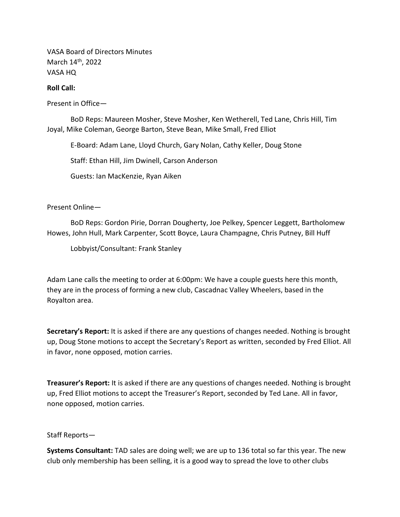VASA Board of Directors Minutes March 14<sup>th</sup>, 2022 VASA HQ

## Roll Call:

Present in Office—

 BoD Reps: Maureen Mosher, Steve Mosher, Ken Wetherell, Ted Lane, Chris Hill, Tim Joyal, Mike Coleman, George Barton, Steve Bean, Mike Small, Fred Elliot

E-Board: Adam Lane, Lloyd Church, Gary Nolan, Cathy Keller, Doug Stone

Staff: Ethan Hill, Jim Dwinell, Carson Anderson

Guests: Ian MacKenzie, Ryan Aiken

Present Online—

 BoD Reps: Gordon Pirie, Dorran Dougherty, Joe Pelkey, Spencer Leggett, Bartholomew Howes, John Hull, Mark Carpenter, Scott Boyce, Laura Champagne, Chris Putney, Bill Huff

Lobbyist/Consultant: Frank Stanley

Adam Lane calls the meeting to order at 6:00pm: We have a couple guests here this month, they are in the process of forming a new club, Cascadnac Valley Wheelers, based in the Royalton area.

Secretary's Report: It is asked if there are any questions of changes needed. Nothing is brought up, Doug Stone motions to accept the Secretary's Report as written, seconded by Fred Elliot. All in favor, none opposed, motion carries.

**Treasurer's Report:** It is asked if there are any questions of changes needed. Nothing is brought up, Fred Elliot motions to accept the Treasurer's Report, seconded by Ted Lane. All in favor, none opposed, motion carries.

Staff Reports—

Systems Consultant: TAD sales are doing well; we are up to 136 total so far this year. The new club only membership has been selling, it is a good way to spread the love to other clubs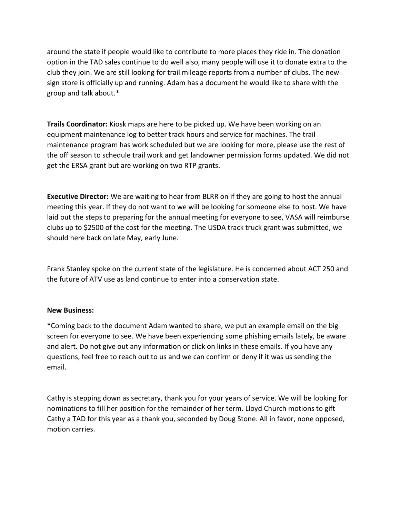around the state if people would like to contribute to more places they ride in. The donation option in the TAD sales continue to do well also, many people will use it to donate extra to the club they join. We are still looking for trail mileage reports from a number of clubs. The new sign store is officially up and running. Adam has a document he would like to share with the group and talk about.\*

Trails Coordinator: Kiosk maps are here to be picked up. We have been working on an equipment maintenance log to better track hours and service for machines. The trail maintenance program has work scheduled but we are looking for more, please use the rest of the off season to schedule trail work and get landowner permission forms updated. We did not get the ERSA grant but are working on two RTP grants.

Executive Director: We are waiting to hear from BLRR on if they are going to host the annual meeting this year. If they do not want to we will be looking for someone else to host. We have laid out the steps to preparing for the annual meeting for everyone to see, VASA will reimburse clubs up to \$2500 of the cost for the meeting. The USDA track truck grant was submitted, we should here back on late May, early June.

Frank Stanley spoke on the current state of the legislature. He is concerned about ACT 250 and the future of ATV use as land continue to enter into a conservation state.

## New Business:

\*Coming back to the document Adam wanted to share, we put an example email on the big screen for everyone to see. We have been experiencing some phishing emails lately, be aware and alert. Do not give out any information or click on links in these emails. If you have any questions, feel free to reach out to us and we can confirm or deny if it was us sending the email.

Cathy is stepping down as secretary, thank you for your years of service. We will be looking for nominations to fill her position for the remainder of her term. Lloyd Church motions to gift Cathy a TAD for this year as a thank you, seconded by Doug Stone. All in favor, none opposed, motion carries.